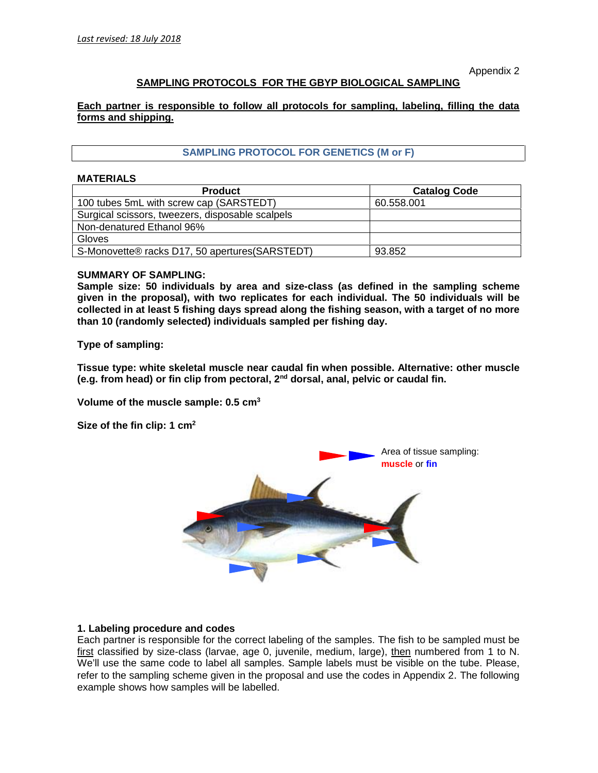Appendix 2

# **SAMPLING PROTOCOLS FOR THE GBYP BIOLOGICAL SAMPLING**

**Each partner is responsible to follow all protocols for sampling, labeling, filling the data forms and shipping.**

## **SAMPLING PROTOCOL FOR GENETICS (M or F)**

#### **MATERIALS**

| <b>Product</b>                                   | <b>Catalog Code</b> |
|--------------------------------------------------|---------------------|
| 100 tubes 5mL with screw cap (SARSTEDT)          | 60.558.001          |
| Surgical scissors, tweezers, disposable scalpels |                     |
| Non-denatured Ethanol 96%                        |                     |
| <b>Gloves</b>                                    |                     |
| S-Monovette® racks D17, 50 apertures (SARSTEDT)  | 93.852              |

### **SUMMARY OF SAMPLING:**

**Sample size: 50 individuals by area and size-class (as defined in the sampling scheme given in the proposal), with two replicates for each individual. The 50 individuals will be collected in at least 5 fishing days spread along the fishing season, with a target of no more than 10 (randomly selected) individuals sampled per fishing day.**

**Type of sampling:**

**Tissue type: white skeletal muscle near caudal fin when possible. Alternative: other muscle (e.g. from head) or fin clip from pectoral, 2nd dorsal, anal, pelvic or caudal fin.**

**Volume of the muscle sample: 0.5 cm<sup>3</sup>**

**Size of the fin clip: 1 cm<sup>2</sup>**



#### **1. Labeling procedure and codes**

Each partner is responsible for the correct labeling of the samples. The fish to be sampled must be first classified by size-class (larvae, age 0, juvenile, medium, large), then numbered from 1 to N. We'll use the same code to label all samples. Sample labels must be visible on the tube. Please, refer to the sampling scheme given in the proposal and use the codes in Appendix 2. The following example shows how samples will be labelled.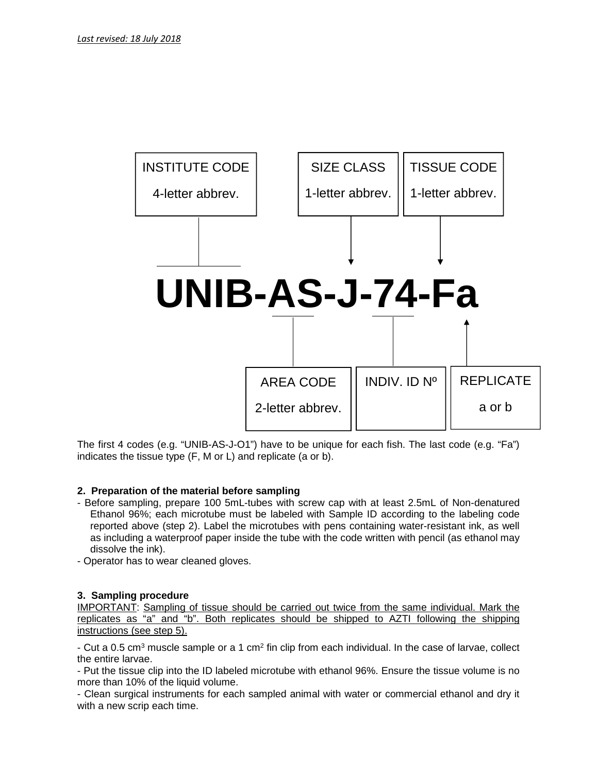

The first 4 codes (e.g. "UNIB-AS-J-O1") have to be unique for each fish.The last code (e.g. "Fa") indicates the tissue type (F, M or L) and replicate (a or b).

# **2. Preparation of the material before sampling**

- Before sampling, prepare 100 5mL-tubes with screw cap with at least 2.5mL of Non-denatured Ethanol 96%; each microtube must be labeled with Sample ID according to the labeling code reported above (step 2). Label the microtubes with pens containing water-resistant ink, as well as including a waterproof paper inside the tube with the code written with pencil (as ethanol may dissolve the ink).
- Operator has to wear cleaned gloves.

## **3. Sampling procedure**

IMPORTANT: Sampling of tissue should be carried out twice from the same individual. Mark the replicates as "a" and "b". Both replicates should be shipped to AZTI following the shipping instructions (see step 5).

- Cut a 0.5 cm $^3$  muscle sample or a 1 cm $^2$  fin clip from each individual. In the case of larvae, collect the entire larvae.

- Put the tissue clip into the ID labeled microtube with ethanol 96%. Ensure the tissue volume is no more than 10% of the liquid volume.

- Clean surgical instruments for each sampled animal with water or commercial ethanol and dry it with a new scrip each time.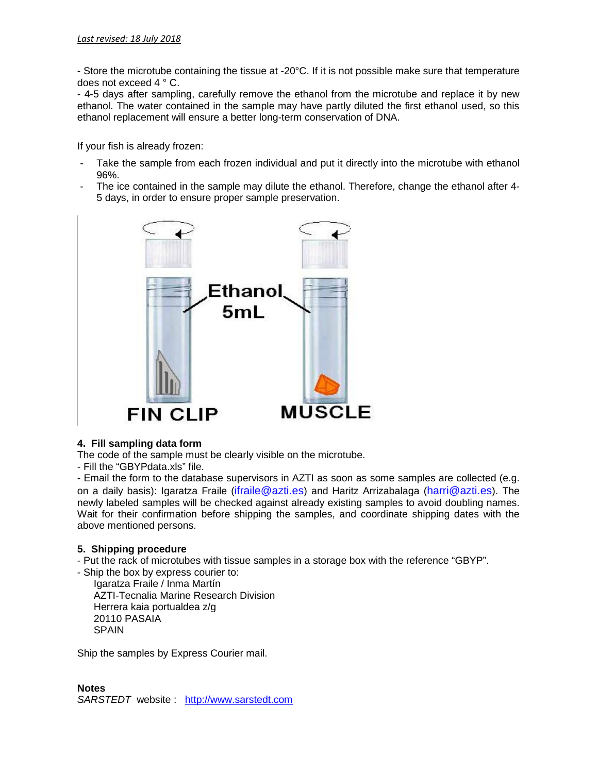- Store the microtube containing the tissue at -20°C. If it is not possible make sure that temperature does not exceed 4 ° C.

- 4-5 days after sampling, carefully remove the ethanol from the microtube and replace it by new ethanol. The water contained in the sample may have partly diluted the first ethanol used, so this ethanol replacement will ensure a better long-term conservation of DNA.

If your fish is already frozen:

- Take the sample from each frozen individual and put it directly into the microtube with ethanol 96%.
- The ice contained in the sample may dilute the ethanol. Therefore, change the ethanol after 4- 5 days, in order to ensure proper sample preservation.



# **4. Fill sampling data form**

The code of the sample must be clearly visible on the microtube.

- Fill the "GBYPdata.xls" file.

- Email the form to the database supervisors in AZTI as soon as some samples are collected (e.g. on a daily basis): Igaratza Fraile (ifraile@azti.es) and Haritz Arrizabalaga (harri@azti.es). The newly labeled samples will be checked against already existing samples to avoid doubling names. Wait for their confirmation before shipping the samples, and coordinate shipping dates with the above mentioned persons.

## **5. Shipping procedure**

- Put the rack of microtubes with tissue samples in a storage box with the reference "GBYP".

- Ship the box by express courier to: Igaratza Fraile / Inma Martín AZTI-Tecnalia Marine Research Division Herrera kaia portualdea z/g 20110 PASAIA SPAIN

Ship the samples by Express Courier mail.

**Notes** *SARSTEDT* website : http://www.sarstedt.com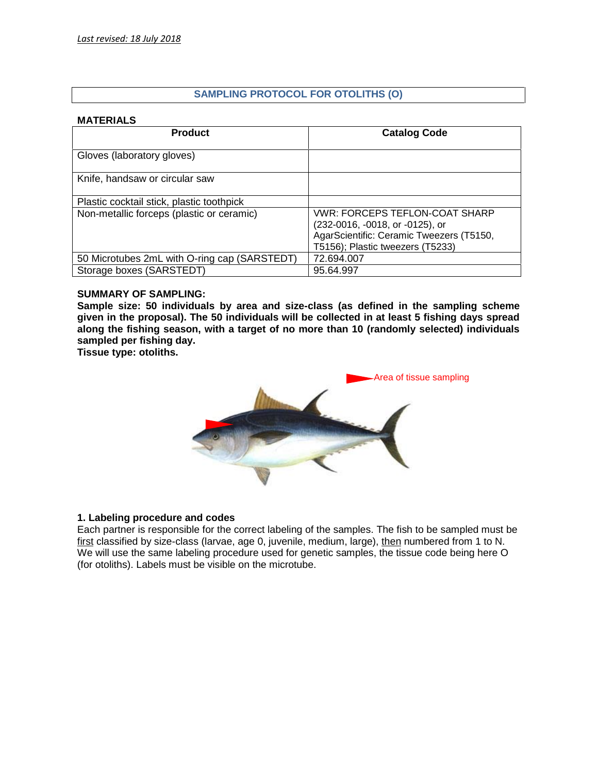# **SAMPLING PROTOCOL FOR OTOLITHS (O)**

## **MATERIALS**

| <b>Product</b>                               | <b>Catalog Code</b>                                                                                                                                      |
|----------------------------------------------|----------------------------------------------------------------------------------------------------------------------------------------------------------|
| Gloves (laboratory gloves)                   |                                                                                                                                                          |
| Knife, handsaw or circular saw               |                                                                                                                                                          |
| Plastic cocktail stick, plastic toothpick    |                                                                                                                                                          |
| Non-metallic forceps (plastic or ceramic)    | <b>VWR: FORCEPS TEFLON-COAT SHARP</b><br>(232-0016, -0018, or -0125), or<br>AgarScientific: Ceramic Tweezers (T5150,<br>T5156); Plastic tweezers (T5233) |
| 50 Microtubes 2mL with O-ring cap (SARSTEDT) | 72.694.007                                                                                                                                               |
| Storage boxes (SARSTEDT)                     | 95.64.997                                                                                                                                                |

### **SUMMARY OF SAMPLING:**

**Sample size: 50 individuals by area and size-class (as defined in the sampling scheme given in the proposal). The 50 individuals will be collected in at least 5 fishing days spread along the fishing season, with a target of no more than 10 (randomly selected) individuals sampled per fishing day.**

**Tissue type: otoliths.**



## **1. Labeling procedure and codes**

Each partner is responsible for the correct labeling of the samples. The fish to be sampled must be first classified by size-class (larvae, age 0, juvenile, medium, large), then numbered from 1 to N. We will use the same labeling procedure used for genetic samples, the tissue code being here O (for otoliths). Labels must be visible on the microtube.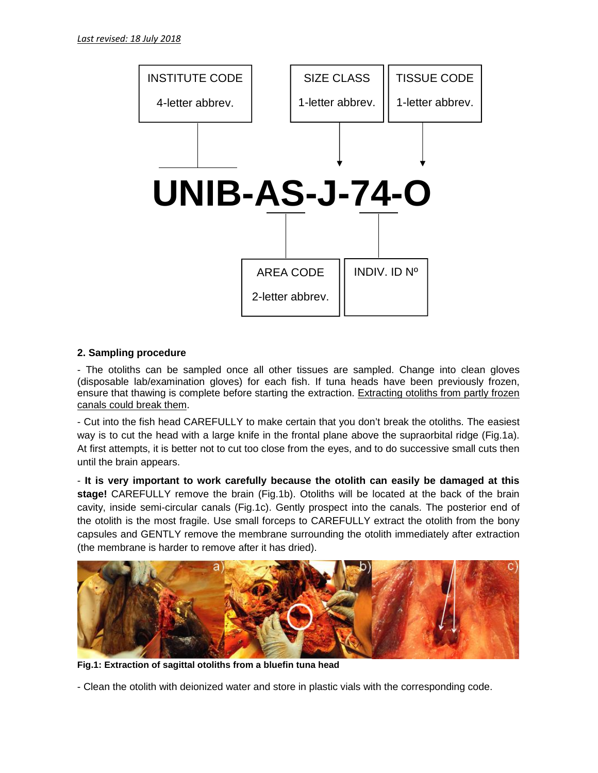

## **2. Sampling procedure**

- The otoliths can be sampled once all other tissues are sampled. Change into clean gloves (disposable lab/examination gloves) for each fish. If tuna heads have been previously frozen, ensure that thawing is complete before starting the extraction. Extracting otoliths from partly frozen canals could break them.

- Cut into the fish head CAREFULLY to make certain that you don't break the otoliths. The easiest way is to cut the head with a large knife in the frontal plane above the supraorbital ridge (Fig.1a). At first attempts, it is better not to cut too close from the eyes, and to do successive small cuts then until the brain appears.

- **It is very important to work carefully because the otolith can easily be damaged at this stage!** CAREFULLY remove the brain (Fig.1b). Otoliths will be located at the back of the brain cavity, inside semi-circular canals (Fig.1c). Gently prospect into the canals. The posterior end of the otolith is the most fragile. Use small forceps to CAREFULLY extract the otolith from the bony capsules and GENTLY remove the membrane surrounding the otolith immediately after extraction (the membrane is harder to remove after it has dried).



**Fig.1: Extraction of sagittal otoliths from a bluefin tuna head**

- Clean the otolith with deionized water and store in plastic vials with the corresponding code.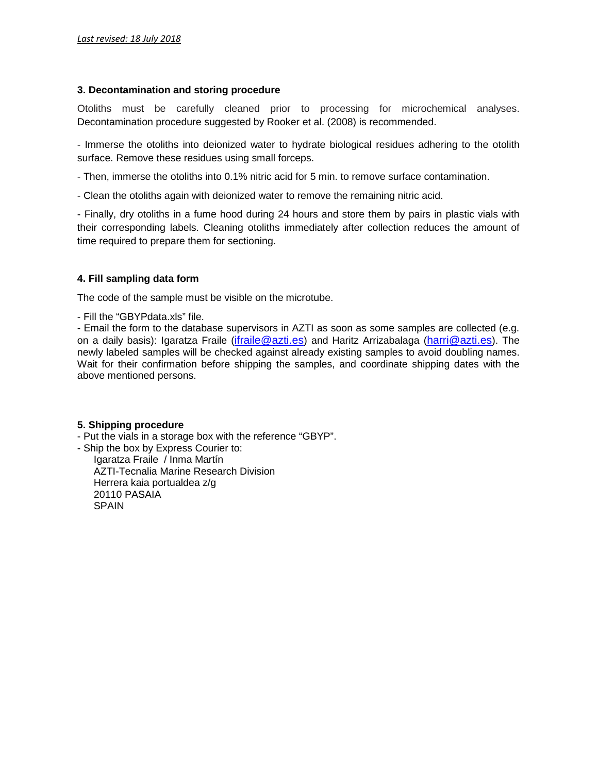### **3. Decontamination and storing procedure**

Otoliths must be carefully cleaned prior to processing for microchemical analyses. Decontamination procedure suggested by Rooker et al. (2008) is recommended.

- Immerse the otoliths into deionized water to hydrate biological residues adhering to the otolith surface. Remove these residues using small forceps.

- Then, immerse the otoliths into 0.1% nitric acid for 5 min. to remove surface contamination.

- Clean the otoliths again with deionized water to remove the remaining nitric acid.

- Finally, dry otoliths in a fume hood during 24 hours and store them by pairs in plastic vials with their corresponding labels. Cleaning otoliths immediately after collection reduces the amount of time required to prepare them for sectioning.

## **4. Fill sampling data form**

The code of the sample must be visible on the microtube.

- Fill the "GBYPdata.xls" file.

- Email the form to the database supervisors in AZTI as soon as some samples are collected (e.g. on a daily basis): Igaratza Fraile (ifraile@azti.es) and Haritz Arrizabalaga (harri@azti.es). The newly labeled samples will be checked against already existing samples to avoid doubling names. Wait for their confirmation before shipping the samples, and coordinate shipping dates with the above mentioned persons.

## **5. Shipping procedure**

- Put the vials in a storage box with the reference "GBYP".

- Ship the box by Express Courier to:

Igaratza Fraile / Inma Martín AZTI-Tecnalia Marine Research Division Herrera kaia portualdea z/g 20110 PASAIA **SPAIN**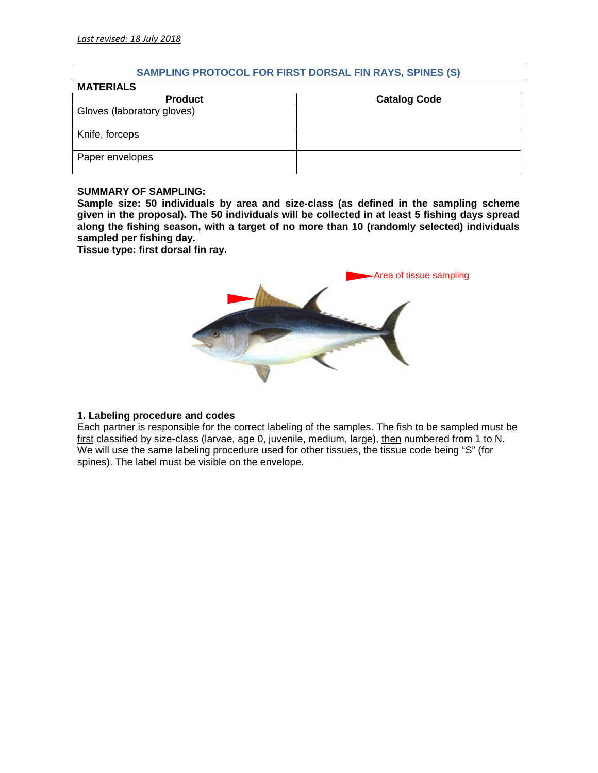## **SAMPLING PROTOCOL FOR FIRST DORSAL FIN RAYS, SPINES (S)**

| <b>MATERIALS</b>           |                     |
|----------------------------|---------------------|
| <b>Product</b>             | <b>Catalog Code</b> |
| Gloves (laboratory gloves) |                     |
| Knife, forceps             |                     |
| Paper envelopes            |                     |

### **SUMMARY OF SAMPLING:**

**Sample size: 50 individuals by area and size-class (as defined in the sampling scheme given in the proposal). The 50 individuals will be collected in at least 5 fishing days spread along the fishing season, with a target of no more than 10 (randomly selected) individuals sampled per fishing day.**

**Tissue type: first dorsal fin ray.**



## **1. Labeling procedure and codes**

Each partner is responsible for the correct labeling of the samples. The fish to be sampled must be first classified by size-class (larvae, age 0, juvenile, medium, large), then numbered from 1 to N. We will use the same labeling procedure used for other tissues, the tissue code being "S" (for spines). The label must be visible on the envelope.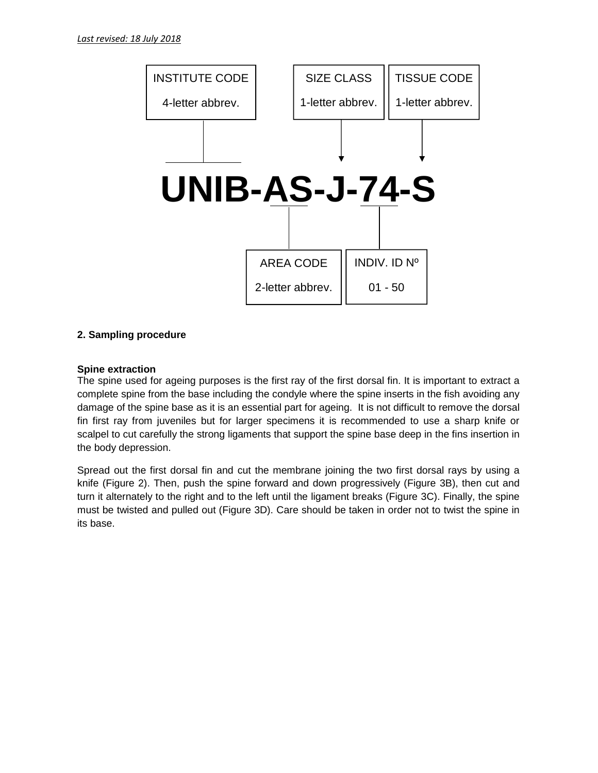

## **2. Sampling procedure**

## **Spine extraction**

The spine used for ageing purposes is the first ray of the first dorsal fin. It is important to extract a complete spine from the base including the condyle where the spine inserts in the fish avoiding any damage of the spine base as it is an essential part for ageing. It is not difficult to remove the dorsal fin first ray from juveniles but for larger specimens it is recommended to use a sharp knife or scalpel to cut carefully the strong ligaments that support the spine base deep in the fins insertion in the body depression.

Spread out the first dorsal fin and cut the membrane joining the two first dorsal rays by using a knife (Figure 2). Then, push the spine forward and down progressively (Figure 3B), then cut and turn it alternately to the right and to the left until the ligament breaks (Figure 3C). Finally, the spine must be twisted and pulled out (Figure 3D). Care should be taken in order not to twist the spine in its base.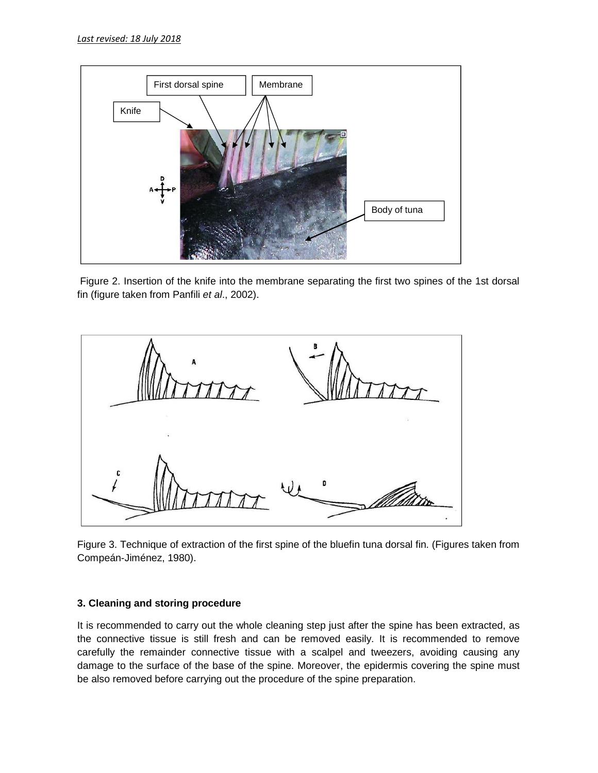

Figure 2. Insertion of the knife into the membrane separating the first two spines of the 1st dorsal fin (figure taken from Panfili *et al*., 2002).



Figure 3. Technique of extraction of the first spine of the bluefin tuna dorsal fin. (Figures taken from Compeán-Jiménez, 1980).

# **3. Cleaning and storing procedure**

It is recommended to carry out the whole cleaning step just after the spine has been extracted, as the connective tissue is still fresh and can be removed easily. It is recommended to remove carefully the remainder connective tissue with a scalpel and tweezers, avoiding causing any damage to the surface of the base of the spine. Moreover, the epidermis covering the spine must be also removed before carrying out the procedure of the spine preparation.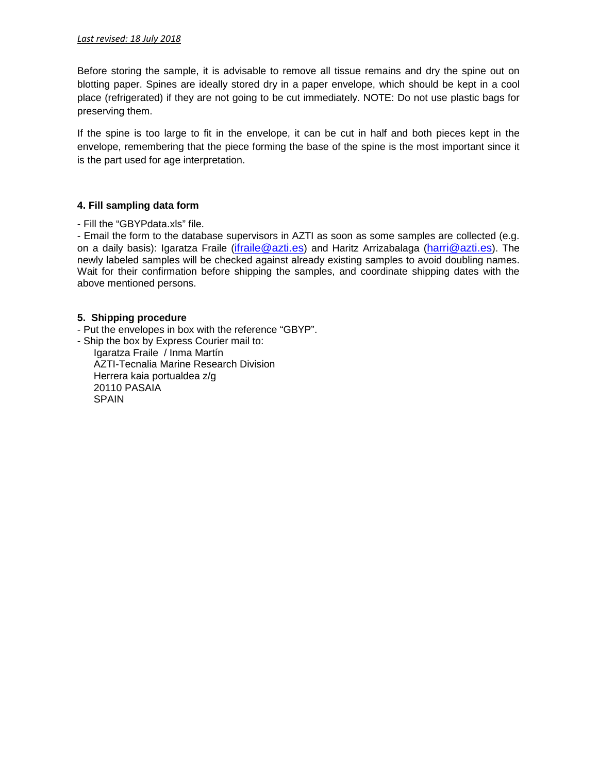Before storing the sample, it is advisable to remove all tissue remains and dry the spine out on blotting paper. Spines are ideally stored dry in a paper envelope, which should be kept in a cool place (refrigerated) if they are not going to be cut immediately. NOTE: Do not use plastic bags for preserving them.

If the spine is too large to fit in the envelope, it can be cut in half and both pieces kept in the envelope, remembering that the piece forming the base of the spine is the most important since it is the part used for age interpretation.

## **4. Fill sampling data form**

- Fill the "GBYPdata.xls" file.

- Email the form to the database supervisors in AZTI as soon as some samples are collected (e.g. on a daily basis): Igaratza Fraile (*ifraile@azti.es*) and Haritz Arrizabalaga (harri@azti.es). The newly labeled samples will be checked against already existing samples to avoid doubling names. Wait for their confirmation before shipping the samples, and coordinate shipping dates with the above mentioned persons.

### **5. Shipping procedure**

- Put the envelopes in box with the reference "GBYP".

- Ship the box by Express Courier mail to: Igaratza Fraile / Inma Martín AZTI-Tecnalia Marine Research Division Herrera kaia portualdea z/g 20110 PASAIA SPAIN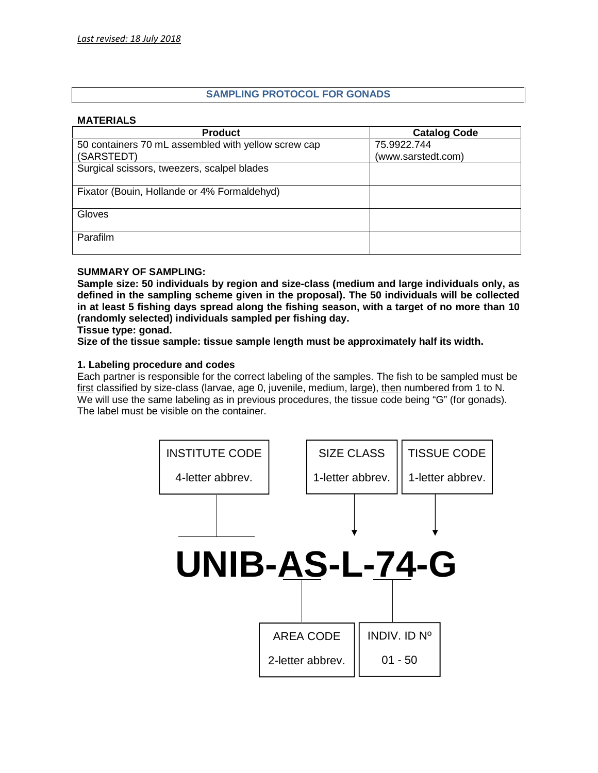# **SAMPLING PROTOCOL FOR GONADS**

### **MATERIALS**

| <b>Product</b>                                      | <b>Catalog Code</b> |
|-----------------------------------------------------|---------------------|
| 50 containers 70 mL assembled with yellow screw cap | 75.9922.744         |
| (SARSTEDT)                                          | (www.sarstedt.com)  |
| Surgical scissors, tweezers, scalpel blades         |                     |
|                                                     |                     |
| Fixator (Bouin, Hollande or 4% Formaldehyd)         |                     |
|                                                     |                     |
| Gloves                                              |                     |
|                                                     |                     |
| <b>Parafilm</b>                                     |                     |
|                                                     |                     |

## **SUMMARY OF SAMPLING:**

**Sample size: 50 individuals by region and size-class (medium and large individuals only, as defined in the sampling scheme given in the proposal). The 50 individuals will be collected in at least 5 fishing days spread along the fishing season, with a target of no more than 10 (randomly selected) individuals sampled per fishing day.**

**Tissue type: gonad.**

**Size of the tissue sample: tissue sample length must be approximately half its width.**

## **1. Labeling procedure and codes**

Each partner is responsible for the correct labeling of the samples. The fish to be sampled must be first classified by size-class (larvae, age 0, juvenile, medium, large), then numbered from 1 to N. We will use the same labeling as in previous procedures, the tissue code being "G" (for gonads). The label must be visible on the container.

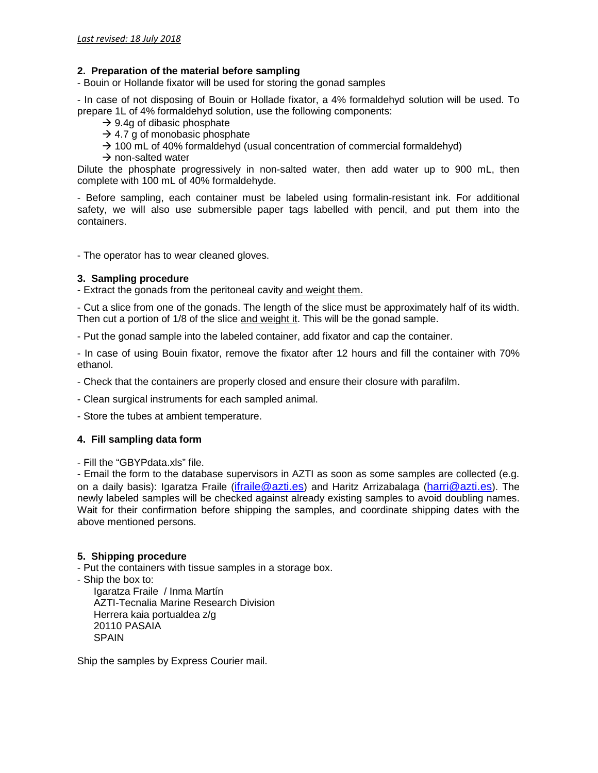## **2. Preparation of the material before sampling**

- Bouin or Hollande fixator will be used for storing the gonad samples

- In case of not disposing of Bouin or Hollade fixator, a 4% formaldehyd solution will be used. To prepare 1L of 4% formaldehyd solution, use the following components:

- $\rightarrow$  9.4g of dibasic phosphate
- $\rightarrow$  4.7 g of monobasic phosphate
- $\rightarrow$  100 mL of 40% formaldehyd (usual concentration of commercial formaldehyd)
- $\rightarrow$  non-salted water

Dilute the phosphate progressively in non-salted water, then add water up to 900 mL, then complete with 100 mL of 40% formaldehyde.

- Before sampling, each container must be labeled using formalin-resistant ink. For additional safety, we will also use submersible paper tags labelled with pencil, and put them into the containers.

- The operator has to wear cleaned gloves.

### **3. Sampling procedure**

- Extract the gonads from the peritoneal cavity and weight them.

- Cut a slice from one of the gonads. The length of the slice must be approximately half of its width. Then cut a portion of 1/8 of the slice and weight it. This will be the gonad sample.

- Put the gonad sample into the labeled container, add fixator and cap the container.

- In case of using Bouin fixator, remove the fixator after 12 hours and fill the container with 70% ethanol.

- Check that the containers are properly closed and ensure their closure with parafilm.

- Clean surgical instruments for each sampled animal.

- Store the tubes at ambient temperature.

## **4. Fill sampling data form**

- Fill the "GBYPdata.xls" file.

- Email the form to the database supervisors in AZTI as soon as some samples are collected (e.g. on a daily basis): Igaratza Fraile (ifraile@azti.es) and Haritz Arrizabalaga (harri@azti.es). The newly labeled samples will be checked against already existing samples to avoid doubling names. Wait for their confirmation before shipping the samples, and coordinate shipping dates with the above mentioned persons.

## **5. Shipping procedure**

- Put the containers with tissue samples in a storage box.

- Ship the box to:

Igaratza Fraile / Inma Martín AZTI-Tecnalia Marine Research Division Herrera kaia portualdea z/g 20110 PASAIA SPAIN

Ship the samples by Express Courier mail.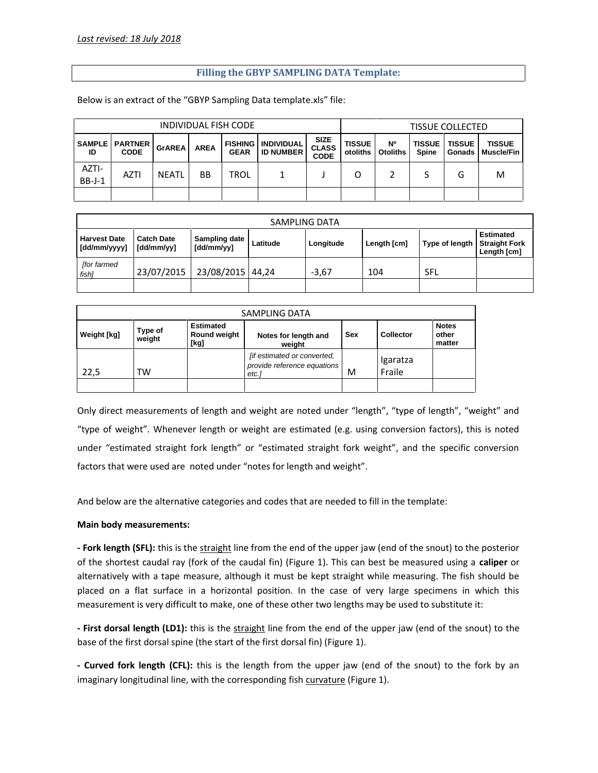## **Filling the GBYP SAMPLING DATA Template:**

Below is an extract of the "GBYP Sampling Data template.xls" file:

| INDIVIDUAL FISH CODE |                                          |               |             |             |                                                 |                                            | <b>TISSUE COLLECTED</b>   |                              |                               |               |                                             |
|----------------------|------------------------------------------|---------------|-------------|-------------|-------------------------------------------------|--------------------------------------------|---------------------------|------------------------------|-------------------------------|---------------|---------------------------------------------|
| ID                   | <b>SAMPLE   PARTNER  </b><br><b>CODE</b> | <b>GrAREA</b> | <b>AREA</b> | <b>GEAR</b> | <b>FISHING I INDIVIDUAL</b><br><b>ID NUMBER</b> | <b>SIZE</b><br><b>CLASS</b><br><b>CODE</b> | <b>TISSUE</b><br>otoliths | <b>N°</b><br><b>Otoliths</b> | <b>TISSUE</b><br><b>Spine</b> | <b>TISSUE</b> | <b>TISSUE</b><br><b>Gonads   Muscle/Fin</b> |
| AZTI-<br>$BB-J-1$    | <b>AZTI</b>                              | <b>NEATL</b>  | <b>BB</b>   | <b>TROL</b> |                                                 |                                            |                           |                              |                               | G             | м                                           |
|                      |                                          |               |             |             |                                                 |                                            |                           |                              |                               |               |                                             |

| SAMPLING DATA                       |                                 |                             |          |           |             |                |                                                         |
|-------------------------------------|---------------------------------|-----------------------------|----------|-----------|-------------|----------------|---------------------------------------------------------|
| <b>Harvest Date</b><br>[dd/mm/yyyy] | <b>Catch Date</b><br>[dd/mm/yy] | Sampling date<br>[dd/mm/yy] | Latitude | Longitude | Length [cm] | Type of length | <b>Estimated</b><br><b>Straight Fork</b><br>Length [cm] |
| <b>for farmed</b><br>fish]          | 23/07/2015                      | 23/08/2015 44,24            |          | $-3.67$   | 104         | SFL            |                                                         |
|                                     |                                 |                             |          |           |             |                |                                                         |

| SAMPLING DATA      |                   |                                          |                                                                    |     |                    |                                 |
|--------------------|-------------------|------------------------------------------|--------------------------------------------------------------------|-----|--------------------|---------------------------------|
| <b>Weight [kg]</b> | Type of<br>weight | <b>Estimated</b><br>Round weight<br>[kg] | Notes for length and<br>weight                                     | Sex | <b>Collector</b>   | <b>Notes</b><br>other<br>matter |
| 22,5               | тw                |                                          | [if estimated or converted,<br>provide reference equations<br>etc. | M   | Igaratza<br>Fraile |                                 |
|                    |                   |                                          |                                                                    |     |                    |                                 |

Only direct measurements of length and weight are noted under "length", "type of length", "weight" and "type of weight". Whenever length or weight are estimated (e.g. using conversion factors), this is noted under "estimated straight fork length" or "estimated straight fork weight", and the specific conversion factors that were used are noted under "notes for length and weight".

And below are the alternative categories and codes that are needed to fill in the template:

#### **Main body measurements:**

**- Fork length (SFL):** this is the straight line from the end of the upper jaw (end of the snout) to the posterior of the shortest caudal ray (fork of the caudal fin) (Figure 1). This can best be measured using a **caliper** or alternatively with a tape measure, although it must be kept straight while measuring. The fish should be placed on a flat surface in a horizontal position. In the case of very large specimens in which this measurement is very difficult to make, one of these other two lengths may be used to substitute it:

**- First dorsal length (LD1):** this is the straight line from the end of the upper jaw (end of the snout) to the base of the first dorsal spine (the start of the first dorsal fin) (Figure 1).

**- Curved fork length (CFL):** this is the length from the upper jaw (end of the snout) to the fork by an imaginary longitudinal line, with the corresponding fish curvature (Figure 1).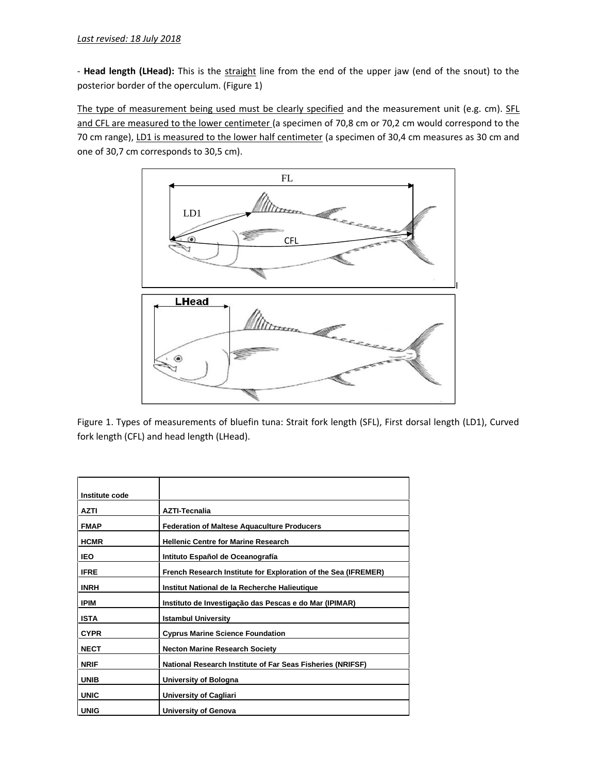- Head length (LHead): This is the straight line from the end of the upper jaw (end of the snout) to the posterior border of the operculum. (Figure 1)

The type of measurement being used must be clearly specified and the measurement unit (e.g. cm). SFL and CFL are measured to the lower centimeter (a specimen of 70,8 cm or 70,2 cm would correspond to the 70 cm range), LD1 is measured to the lower half centimeter (a specimen of 30,4 cm measures as 30 cm and one of 30,7 cm corresponds to 30,5 cm).



Figure 1. Types of measurements of bluefin tuna: Strait fork length (SFL), First dorsal length (LD1), Curved fork length (CFL) and head length (LHead).

| Institute code |                                                                |
|----------------|----------------------------------------------------------------|
| <b>AZTI</b>    | <b>AZTI-Tecnalia</b>                                           |
| <b>FMAP</b>    | <b>Federation of Maltese Aquaculture Producers</b>             |
| <b>HCMR</b>    | <b>Hellenic Centre for Marine Research</b>                     |
| <b>IEO</b>     | Intituto Español de Oceanografía                               |
| <b>IFRE</b>    | French Research Institute for Exploration of the Sea (IFREMER) |
| <b>INRH</b>    | Institut National de la Recherche Halieutique                  |
| <b>IPIM</b>    | Instituto de Investigação das Pescas e do Mar (IPIMAR)         |
| <b>ISTA</b>    | <b>Istambul University</b>                                     |
| <b>CYPR</b>    | <b>Cyprus Marine Science Foundation</b>                        |
| <b>NECT</b>    | <b>Necton Marine Research Society</b>                          |
| <b>NRIF</b>    | National Research Institute of Far Seas Fisheries (NRIFSF)     |
| <b>UNIB</b>    | University of Bologna                                          |
| <b>UNIC</b>    | <b>University of Cagliari</b>                                  |
| <b>UNIG</b>    | <b>University of Genova</b>                                    |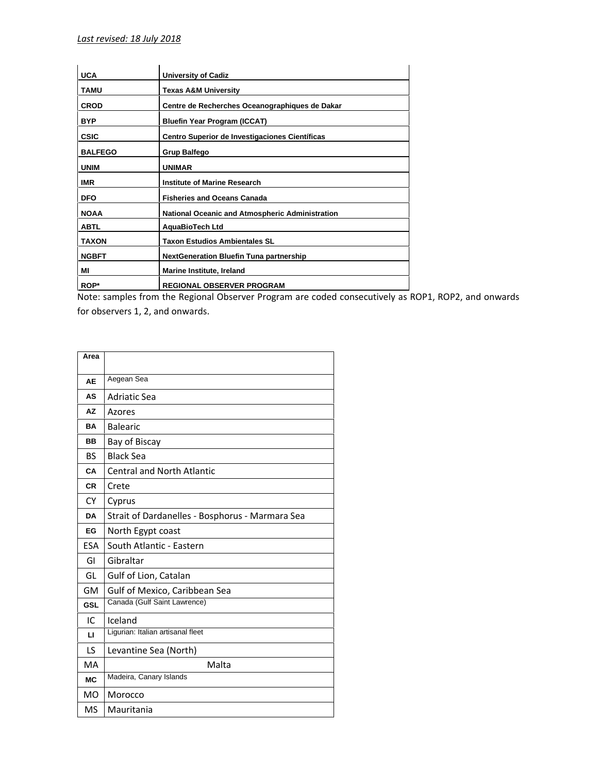| <b>UCA</b>     | <b>University of Cadiz</b>                             |
|----------------|--------------------------------------------------------|
| <b>TAMU</b>    | <b>Texas A&amp;M University</b>                        |
| <b>CROD</b>    | Centre de Recherches Oceanographiques de Dakar         |
| <b>BYP</b>     | <b>Bluefin Year Program (ICCAT)</b>                    |
| <b>CSIC</b>    | Centro Superior de Investigaciones Científicas         |
| <b>BALFEGO</b> | <b>Grup Balfego</b>                                    |
| <b>UNIM</b>    | <b>UNIMAR</b>                                          |
| <b>IMR</b>     | <b>Institute of Marine Research</b>                    |
| <b>DFO</b>     | <b>Fisheries and Oceans Canada</b>                     |
| <b>NOAA</b>    | <b>National Oceanic and Atmospheric Administration</b> |
| <b>ABTL</b>    | AquaBioTech Ltd                                        |
| <b>TAXON</b>   | <b>Taxon Estudios Ambientales SL</b>                   |
| <b>NGBFT</b>   | <b>NextGeneration Bluefin Tuna partnership</b>         |
| ΜI             | Marine Institute, Ireland                              |
| ROP*           | <b>REGIONAL OBSERVER PROGRAM</b>                       |

Note: samples from the Regional Observer Program are coded consecutively as ROP1, ROP2, and onwards for observers 1, 2, and onwards.

| Area         |                                                 |
|--------------|-------------------------------------------------|
|              |                                                 |
| <b>AE</b>    | Aegean Sea                                      |
| AS           | <b>Adriatic Sea</b>                             |
| <b>AZ</b>    | Azores                                          |
| BA           | <b>Balearic</b>                                 |
| <b>BB</b>    | Bay of Biscay                                   |
| <b>BS</b>    | <b>Black Sea</b>                                |
| CA           | <b>Central and North Atlantic</b>               |
| <b>CR</b>    | Crete                                           |
| <b>CY</b>    | Cyprus                                          |
| <b>DA</b>    | Strait of Dardanelles - Bosphorus - Marmara Sea |
| EG           | North Egypt coast                               |
| ESA          | South Atlantic - Eastern                        |
| GI           | Gibraltar                                       |
| GL           | Gulf of Lion, Catalan                           |
| GM           | Gulf of Mexico, Caribbean Sea                   |
| <b>GSL</b>   | Canada (Gulf Saint Lawrence)                    |
| IC.          | Iceland                                         |
| $\mathsf{L}$ | Ligurian: Italian artisanal fleet               |
| LS           | Levantine Sea (North)                           |
| <b>MA</b>    | Malta                                           |
| <b>MC</b>    | Madeira, Canary Islands                         |
| <b>MO</b>    | Morocco                                         |
| MS           | Mauritania                                      |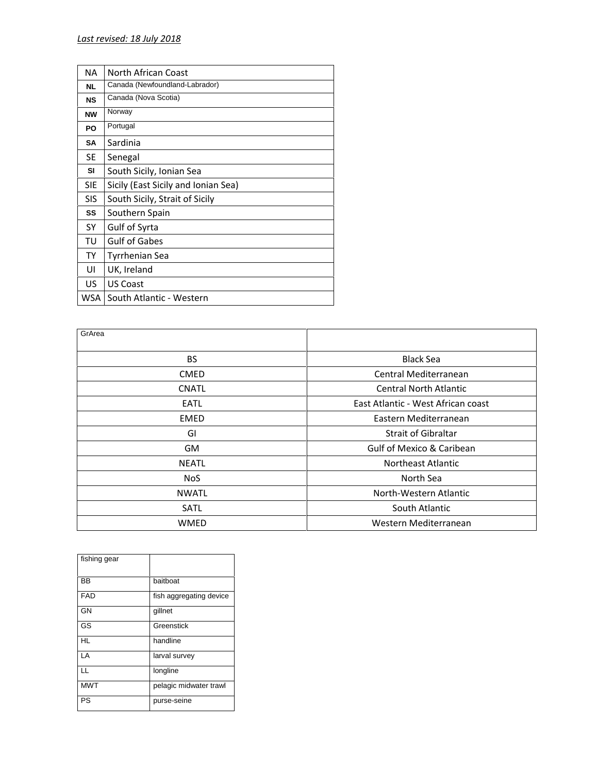| <b>NA</b>  | North African Coast                 |
|------------|-------------------------------------|
| <b>NL</b>  | Canada (Newfoundland-Labrador)      |
| <b>NS</b>  | Canada (Nova Scotia)                |
| <b>NW</b>  | Norway                              |
| PO         | Portugal                            |
| <b>SA</b>  | Sardinia                            |
| SE         | Senegal                             |
| SI         | South Sicily, Ionian Sea            |
| <b>SIE</b> | Sicily (East Sicily and Ionian Sea) |
| <b>SIS</b> | South Sicily, Strait of Sicily      |
| SS         | Southern Spain                      |
| SY         | Gulf of Syrta                       |
| TU         | <b>Gulf of Gabes</b>                |
| <b>TY</b>  | Tyrrhenian Sea                      |
| UI         | UK, Ireland                         |
| US.        | <b>US Coast</b>                     |
| WSA        | South Atlantic - Western            |

| GrArea       |                                      |
|--------------|--------------------------------------|
| <b>BS</b>    | <b>Black Sea</b>                     |
| <b>CMED</b>  | Central Mediterranean                |
| <b>CNATL</b> | <b>Central North Atlantic</b>        |
| EATL         | East Atlantic - West African coast   |
| <b>EMED</b>  | Eastern Mediterranean                |
| GI           | <b>Strait of Gibraltar</b>           |
| <b>GM</b>    | <b>Gulf of Mexico &amp; Caribean</b> |
| <b>NEATL</b> | Northeast Atlantic                   |
| <b>NoS</b>   | North Sea                            |
| <b>NWATL</b> | North-Western Atlantic               |
| SATL         | South Atlantic                       |
| WMED         | Western Mediterranean                |

| fishing gear |                         |  |
|--------------|-------------------------|--|
| <b>BB</b>    | baitboat                |  |
| <b>FAD</b>   | fish aggregating device |  |
| GN           | gillnet                 |  |
| GS           | Greenstick              |  |
| HL           | handline                |  |
| LA           | larval survey           |  |
| LL           | longline                |  |
| <b>MWT</b>   | pelagic midwater trawl  |  |
| PS           | purse-seine             |  |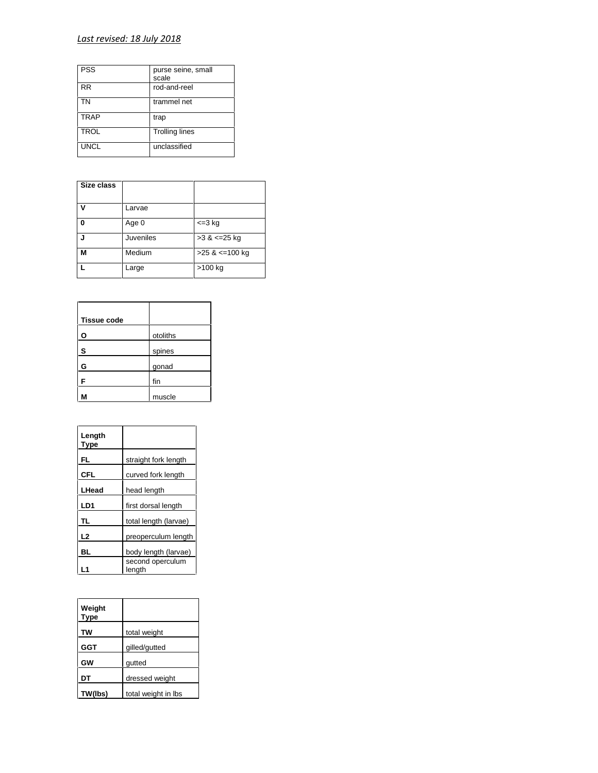# *Last revised: 18 July 2018*

| <b>PSS</b>  | purse seine, small<br>scale |
|-------------|-----------------------------|
| RR          | rod-and-reel                |
| TΝ          | trammel net                 |
| <b>TRAP</b> | trap                        |
| <b>TROL</b> | <b>Trolling lines</b>       |
| <b>UNCL</b> | unclassified                |

| Size class |           |                       |
|------------|-----------|-----------------------|
| v          | Larvae    |                       |
| 0          | Age 0     | $=3$ kg               |
| J          | Juveniles | $>3$ & $\leq$ 25 kg   |
| М          | Medium    | $>25$ & $\leq$ 100 kg |
|            | Large     | $>100$ kg             |

| <b>Tissue code</b> |          |
|--------------------|----------|
| O                  | otoliths |
| S                  | spines   |
| G                  | gonad    |
| F                  | fin      |
| M                  | muscle   |

| Length<br>Type  |                            |
|-----------------|----------------------------|
| FL              | straight fork length       |
| l CFL           | curved fork length         |
| <b>LHead</b>    | head length                |
| LD <sub>1</sub> | first dorsal length        |
| TL              | total length (larvae)      |
| L <sub>2</sub>  | preoperculum length        |
| BL              | body length (larvae)       |
|                 | second operculum<br>length |

| Weight<br><b>Type</b> |                     |
|-----------------------|---------------------|
| TW                    | total weight        |
| <b>GGT</b>            | gilled/gutted       |
| GW                    | qutted              |
| DT                    | dressed weight      |
| TW(lbs)               | total weight in Ibs |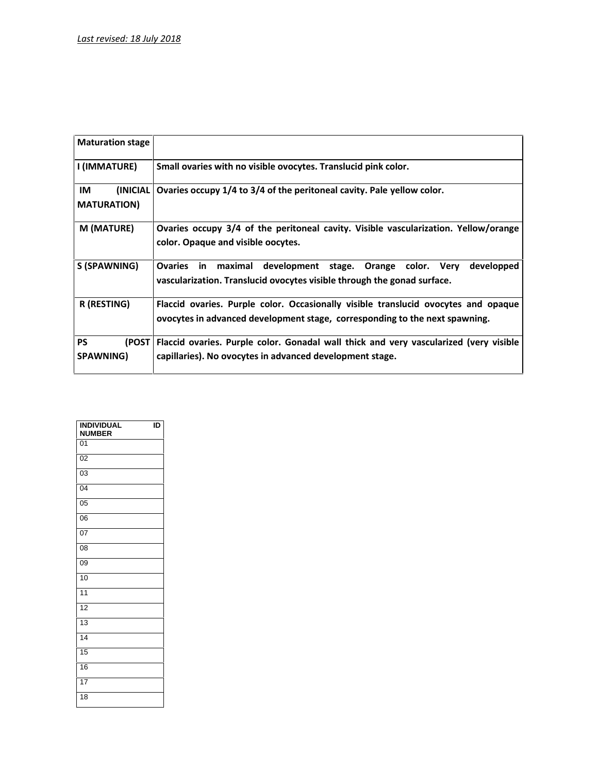| <b>Maturation stage</b>               |                                                                                                                                                                   |
|---------------------------------------|-------------------------------------------------------------------------------------------------------------------------------------------------------------------|
| I (IMMATURE)                          | Small ovaries with no visible ovocytes. Translucid pink color.                                                                                                    |
| IM<br>(INICIAL)<br><b>MATURATION)</b> | Ovaries occupy 1/4 to 3/4 of the peritoneal cavity. Pale yellow color.                                                                                            |
| M (MATURE)                            | Ovaries occupy 3/4 of the peritoneal cavity. Visible vascularization. Yellow/orange<br>color. Opaque and visible oocytes.                                         |
| S (SPAWNING)                          | Ovaries in maximal development stage. Orange color. Very<br>developped<br>vascularization. Translucid ovocytes visible through the gonad surface.                 |
| R (RESTING)                           | Flaccid ovaries. Purple color. Occasionally visible translucid ovocytes and opaque<br>ovocytes in advanced development stage, corresponding to the next spawning. |
| <b>PS</b><br>SPAWNING)                | (POST   Flaccid ovaries. Purple color. Gonadal wall thick and very vascularized (very visible<br>capillaries). No ovocytes in advanced development stage.         |
|                                       |                                                                                                                                                                   |

| <b>INDIVIDUAL</b><br><b>NUMBER</b> | ID |  |
|------------------------------------|----|--|
| 01                                 |    |  |
| 02                                 |    |  |
| 03                                 |    |  |
| 04                                 |    |  |
| 05                                 |    |  |
| 06                                 |    |  |
| 07                                 |    |  |
| 08                                 |    |  |
| 09                                 |    |  |
| 10                                 |    |  |
| 11                                 |    |  |
| 12                                 |    |  |
| 13                                 |    |  |
| 14                                 |    |  |
| 15                                 |    |  |
| 16                                 |    |  |
| 17                                 |    |  |
| 18                                 |    |  |